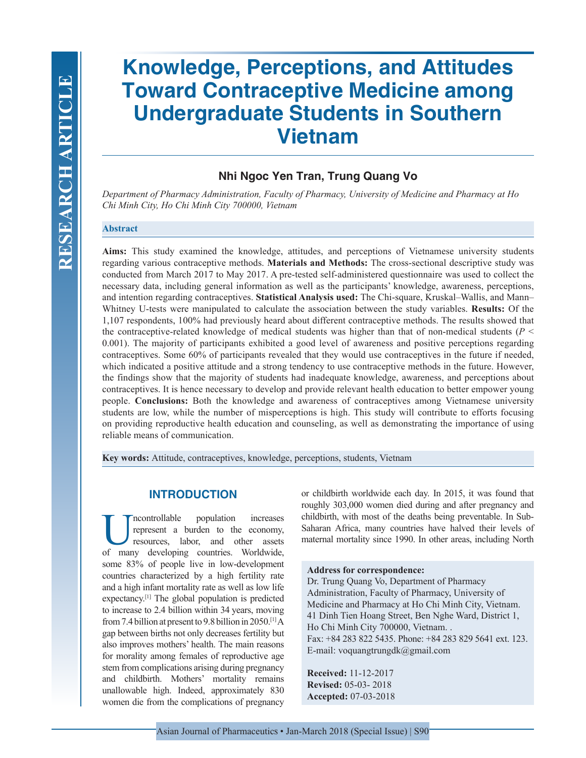# **Knowledge, Perceptions, and Attitudes Toward Contraceptive Medicine among Undergraduate Students in Southern Vietnam**

## **Nhi Ngoc Yen Tran, Trung Quang Vo**

*Department of Pharmacy Administration, Faculty of Pharmacy, University of Medicine and Pharmacy at Ho Chi Minh City, Ho Chi Minh City 700000, Vietnam*

#### **Abstract**

**Aims:** This study examined the knowledge, attitudes, and perceptions of Vietnamese university students regarding various contraceptive methods. **Materials and Methods:** The cross-sectional descriptive study was conducted from March 2017 to May 2017. A pre-tested self-administered questionnaire was used to collect the necessary data, including general information as well as the participants' knowledge, awareness, perceptions, and intention regarding contraceptives. **Statistical Analysis used:** The Chi-square, Kruskal–Wallis, and Mann– Whitney U-tests were manipulated to calculate the association between the study variables. **Results:** Of the 1,107 respondents, 100% had previously heard about different contraceptive methods. The results showed that the contraceptive-related knowledge of medical students was higher than that of non-medical students ( $P \leq$ 0.001). The majority of participants exhibited a good level of awareness and positive perceptions regarding contraceptives. Some 60% of participants revealed that they would use contraceptives in the future if needed, which indicated a positive attitude and a strong tendency to use contraceptive methods in the future. However, the findings show that the majority of students had inadequate knowledge, awareness, and perceptions about contraceptives. It is hence necessary to develop and provide relevant health education to better empower young people. **Conclusions:** Both the knowledge and awareness of contraceptives among Vietnamese university students are low, while the number of misperceptions is high. This study will contribute to efforts focusing on providing reproductive health education and counseling, as well as demonstrating the importance of using reliable means of communication.

**Key words:** Attitude, contraceptives, knowledge, perceptions, students, Vietnam

## **INTRODUCTION**

Incontrollable population increases<br>represent a burden to the economy,<br>resources, labor, and other assets<br>of many developing countries Worldwide represent a burden to the economy, resources, labor, and other assets of many developing countries. Worldwide, some 83% of people live in low-development countries characterized by a high fertility rate and a high infant mortality rate as well as low life expectancy.[1] The global population is predicted to increase to 2.4 billion within 34 years, moving from 7.4 billion at present to 9.8 billion in 2050.[1] A gap between births not only decreases fertility but also improves mothers' health. The main reasons for morality among females of reproductive age stem from complications arising during pregnancy and childbirth. Mothers' mortality remains unallowable high. Indeed, approximately 830 women die from the complications of pregnancy

or childbirth worldwide each day. In 2015, it was found that roughly 303,000 women died during and after pregnancy and childbirth, with most of the deaths being preventable. In Sub-Saharan Africa, many countries have halved their levels of maternal mortality since 1990. In other areas, including North

## **Address for correspondence:**

Dr. Trung Quang Vo, Department of Pharmacy Administration, Faculty of Pharmacy, University of Medicine and Pharmacy at Ho Chi Minh City, Vietnam. 41 Dinh Tien Hoang Street, Ben Nghe Ward, District 1, Ho Chi Minh City 700000, Vietnam. . Fax: +84 283 822 5435. Phone: +84 283 829 5641 ext. 123. E-mail: voquangtrungdk@gmail.com

**Received:** 11-12-2017 **Revised:** 05-03- 2018 **Accepted:** 07-03-2018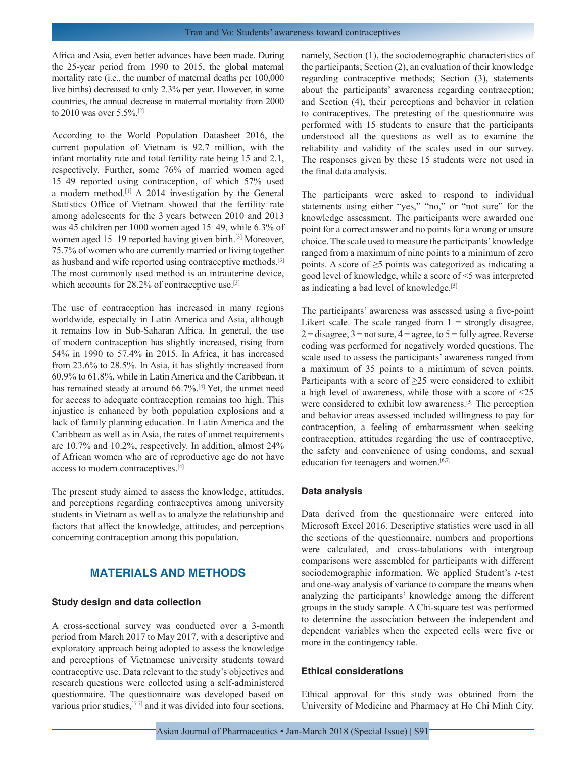Africa and Asia, even better advances have been made. During the 25-year period from 1990 to 2015, the global maternal mortality rate (i.e., the number of maternal deaths per 100,000 live births) decreased to only 2.3% per year. However, in some countries, the annual decrease in maternal mortality from 2000 to 2010 was over 5.5%.[2]

According to the World Population Datasheet 2016, the current population of Vietnam is 92.7 million, with the infant mortality rate and total fertility rate being 15 and 2.1, respectively. Further, some 76% of married women aged 15–49 reported using contraception, of which 57% used a modern method.[1] A 2014 investigation by the General Statistics Office of Vietnam showed that the fertility rate among adolescents for the 3 years between 2010 and 2013 was 45 children per 1000 women aged 15–49, while 6.3% of women aged 15–19 reported having given birth.<sup>[3]</sup> Moreover, 75.7% of women who are currently married or living together as husband and wife reported using contraceptive methods.[3] The most commonly used method is an intrauterine device, which accounts for 28.2% of contraceptive use.<sup>[3]</sup>

The use of contraception has increased in many regions worldwide, especially in Latin America and Asia, although it remains low in Sub-Saharan Africa. In general, the use of modern contraception has slightly increased, rising from 54% in 1990 to 57.4% in 2015. In Africa, it has increased from 23.6% to 28.5%. In Asia, it has slightly increased from 60.9% to 61.8%, while in Latin America and the Caribbean, it has remained steady at around 66.7%.<sup>[4]</sup> Yet, the unmet need for access to adequate contraception remains too high. This injustice is enhanced by both population explosions and a lack of family planning education. In Latin America and the Caribbean as well as in Asia, the rates of unmet requirements are 10.7% and 10.2%, respectively. In addition, almost 24% of African women who are of reproductive age do not have access to modern contraceptives.[4]

The present study aimed to assess the knowledge, attitudes, and perceptions regarding contraceptives among university students in Vietnam as well as to analyze the relationship and factors that affect the knowledge, attitudes, and perceptions concerning contraception among this population.

## **MATERIALS AND METHODS**

#### **Study design and data collection**

A cross-sectional survey was conducted over a 3-month period from March 2017 to May 2017, with a descriptive and exploratory approach being adopted to assess the knowledge and perceptions of Vietnamese university students toward contraceptive use. Data relevant to the study's objectives and research questions were collected using a self-administered questionnaire. The questionnaire was developed based on various prior studies,<sup>[5-7]</sup> and it was divided into four sections, namely, Section (1), the sociodemographic characteristics of the participants; Section (2), an evaluation of their knowledge regarding contraceptive methods; Section (3), statements about the participants' awareness regarding contraception; and Section (4), their perceptions and behavior in relation to contraceptives. The pretesting of the questionnaire was performed with 15 students to ensure that the participants understood all the questions as well as to examine the reliability and validity of the scales used in our survey. The responses given by these 15 students were not used in the final data analysis.

The participants were asked to respond to individual statements using either "yes," "no," or "not sure" for the knowledge assessment. The participants were awarded one point for a correct answer and no points for a wrong or unsure choice. The scale used to measure the participants' knowledge ranged from a maximum of nine points to a minimum of zero points. A score of  $\geq$ 5 points was categorized as indicating a good level of knowledge, while a score of <5 was interpreted as indicating a bad level of knowledge.<sup>[5]</sup>

The participants' awareness was assessed using a five-point Likert scale. The scale ranged from  $1 =$  strongly disagree,  $2 =$  disagree,  $3 =$  not sure,  $4 =$  agree, to  $5 =$  fully agree. Reverse coding was performed for negatively worded questions. The scale used to assess the participants' awareness ranged from a maximum of 35 points to a minimum of seven points. Participants with a score of  $\geq$ 25 were considered to exhibit a high level of awareness, while those with a score of <25 were considered to exhibit low awareness.<sup>[5]</sup> The perception and behavior areas assessed included willingness to pay for contraception, a feeling of embarrassment when seeking contraception, attitudes regarding the use of contraceptive, the safety and convenience of using condoms, and sexual education for teenagers and women.<sup>[6,7]</sup>

#### **Data analysis**

Data derived from the questionnaire were entered into Microsoft Excel 2016. Descriptive statistics were used in all the sections of the questionnaire, numbers and proportions were calculated, and cross-tabulations with intergroup comparisons were assembled for participants with different sociodemographic information. We applied Student's *t*-test and one-way analysis of variance to compare the means when analyzing the participants' knowledge among the different groups in the study sample. A Chi-square test was performed to determine the association between the independent and dependent variables when the expected cells were five or more in the contingency table.

#### **Ethical considerations**

Ethical approval for this study was obtained from the University of Medicine and Pharmacy at Ho Chi Minh City.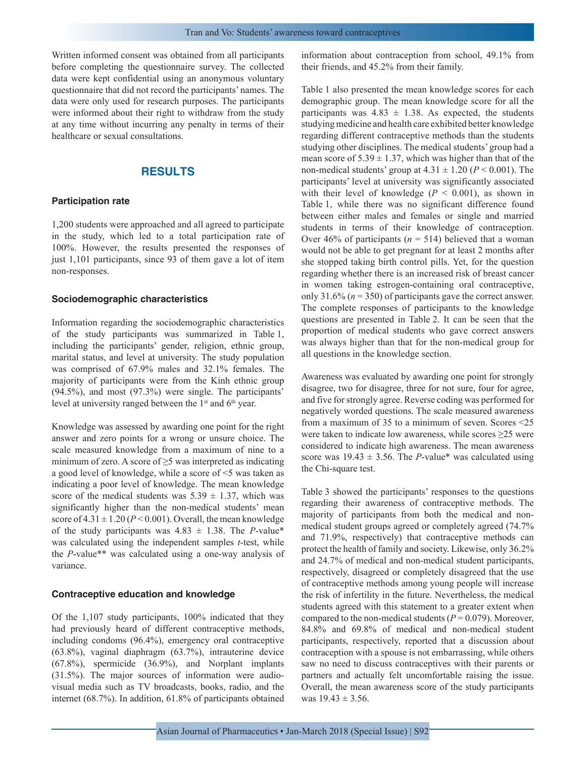Written informed consent was obtained from all participants before completing the questionnaire survey. The collected data were kept confidential using an anonymous voluntary questionnaire that did not record the participants' names. The data were only used for research purposes. The participants were informed about their right to withdraw from the study at any time without incurring any penalty in terms of their healthcare or sexual consultations.

## **RESULTS**

#### **Participation rate**

1,200 students were approached and all agreed to participate in the study, which led to a total participation rate of 100%. However, the results presented the responses of just 1,101 participants, since 93 of them gave a lot of item non-responses.

#### **Sociodemographic characteristics**

Information regarding the sociodemographic characteristics of the study participants was summarized in Table 1, including the participants' gender, religion, ethnic group, marital status, and level at university. The study population was comprised of 67.9% males and 32.1% females. The majority of participants were from the Kinh ethnic group (94.5%), and most (97.3%) were single. The participants' level at university ranged between the  $1<sup>st</sup>$  and  $6<sup>th</sup>$  year.

Knowledge was assessed by awarding one point for the right answer and zero points for a wrong or unsure choice. The scale measured knowledge from a maximum of nine to a minimum of zero. A score of ≥5 was interpreted as indicating a good level of knowledge, while a score of <5 was taken as indicating a poor level of knowledge. The mean knowledge score of the medical students was  $5.39 \pm 1.37$ , which was significantly higher than the non-medical students' mean score of  $4.31 \pm 1.20$  ( $P < 0.001$ ). Overall, the mean knowledge of the study participants was  $4.83 \pm 1.38$ . The *P*-value\* was calculated using the independent samples *t*-test, while the *P*-value\*\* was calculated using a one-way analysis of variance.

#### **Contraceptive education and knowledge**

Of the 1,107 study participants, 100% indicated that they had previously heard of different contraceptive methods, including condoms (96.4%), emergency oral contraceptive (63.8%), vaginal diaphragm (63.7%), intrauterine device (67.8%), spermicide (36.9%), and Norplant implants (31.5%). The major sources of information were audiovisual media such as TV broadcasts, books, radio, and the internet (68.7%). In addition, 61.8% of participants obtained information about contraception from school, 49.1% from their friends, and 45.2% from their family.

Table 1 also presented the mean knowledge scores for each demographic group. The mean knowledge score for all the participants was  $4.83 \pm 1.38$ . As expected, the students studying medicine and health care exhibited better knowledge regarding different contraceptive methods than the students studying other disciplines. The medical students' group had a mean score of  $5.39 \pm 1.37$ , which was higher than that of the non-medical students' group at  $4.31 \pm 1.20$  ( $P \le 0.001$ ). The participants' level at university was significantly associated with their level of knowledge  $(P < 0.001)$ , as shown in Table 1, while there was no significant difference found between either males and females or single and married students in terms of their knowledge of contraception. Over 46% of participants ( $n = 514$ ) believed that a woman would not be able to get pregnant for at least 2 months after she stopped taking birth control pills. Yet, for the question regarding whether there is an increased risk of breast cancer in women taking estrogen-containing oral contraceptive, only 31.6% (*n* = 350) of participants gave the correct answer. The complete responses of participants to the knowledge questions are presented in Table 2. It can be seen that the proportion of medical students who gave correct answers was always higher than that for the non-medical group for all questions in the knowledge section.

Awareness was evaluated by awarding one point for strongly disagree, two for disagree, three for not sure, four for agree, and five for strongly agree. Reverse coding was performed for negatively worded questions. The scale measured awareness from a maximum of 35 to a minimum of seven. Scores <25 were taken to indicate low awareness, while scores ≥25 were considered to indicate high awareness. The mean awareness score was  $19.43 \pm 3.56$ . The *P*-value\* was calculated using the Chi-square test.

Table 3 showed the participants' responses to the questions regarding their awareness of contraceptive methods. The majority of participants from both the medical and nonmedical student groups agreed or completely agreed (74.7% and 71.9%, respectively) that contraceptive methods can protect the health of family and society. Likewise, only 36.2% and 24.7% of medical and non-medical student participants, respectively, disagreed or completely disagreed that the use of contraceptive methods among young people will increase the risk of infertility in the future. Nevertheless, the medical students agreed with this statement to a greater extent when compared to the non-medical students ( $P = 0.079$ ). Moreover, 84.8% and 69.8% of medical and non-medical student participants, respectively, reported that a discussion about contraception with a spouse is not embarrassing, while others saw no need to discuss contraceptives with their parents or partners and actually felt uncomfortable raising the issue. Overall, the mean awareness score of the study participants was  $19.43 \pm 3.56$ .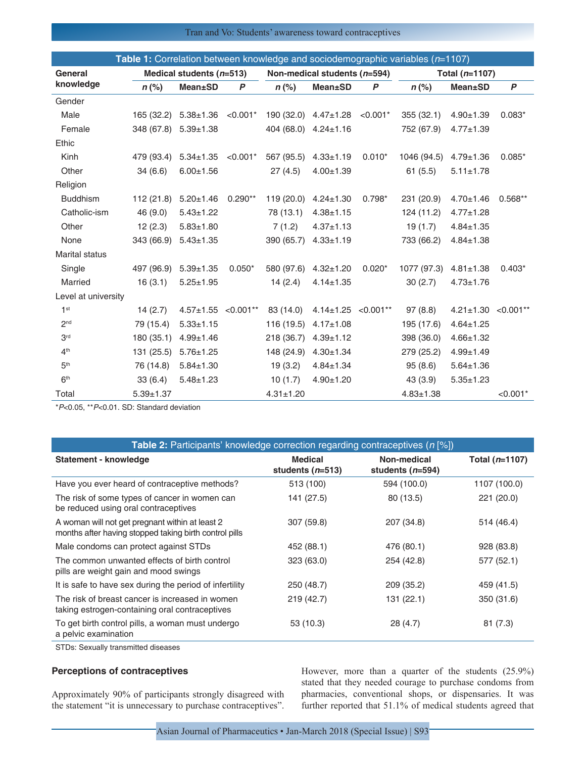## Tran and Vo: Students' awareness toward contraceptives

|                       |                 |                            |             |                 |                              |                  | <b>Table 1:</b> Correlation between knowledge and sociodemographic variables $(n=1107)$ |                 |                  |
|-----------------------|-----------------|----------------------------|-------------|-----------------|------------------------------|------------------|-----------------------------------------------------------------------------------------|-----------------|------------------|
| General               |                 | Medical students $(n=513)$ |             |                 | Non-medical students (n=594) |                  |                                                                                         | Total (n=1107)  |                  |
| knowledge             | $n$ (%)         | <b>Mean±SD</b>             | P           | $n$ (%)         | <b>Mean</b> ±SD              | $\boldsymbol{P}$ | $n$ (%)                                                                                 | <b>Mean</b> ±SD | $\boldsymbol{P}$ |
| Gender                |                 |                            |             |                 |                              |                  |                                                                                         |                 |                  |
| Male                  | 165 (32.2)      | $5.38 \pm 1.36$            | $< 0.001*$  |                 | 190 (32.0) 4.47±1.28         | $< 0.001*$       | 355 (32.1)                                                                              | $4.90 + 1.39$   | $0.083*$         |
| Female                | 348 (67.8)      | $5.39 \pm 1.38$            |             | 404 (68.0)      | $4.24 \pm 1.16$              |                  | 752 (67.9)                                                                              | $4.77 + 1.39$   |                  |
| Ethic                 |                 |                            |             |                 |                              |                  |                                                                                         |                 |                  |
| Kinh                  | 479 (93.4)      | $5.34 \pm 1.35$            | $< 0.001$ * | 567 (95.5)      | $4.33 + 1.19$                | $0.010*$         | 1046 (94.5)                                                                             | $4.79 \pm 1.36$ | $0.085*$         |
| Other                 | 34(6.6)         | $6.00 + 1.56$              |             | 27 (4.5)        | $4.00 + 1.39$                |                  | 61(5.5)                                                                                 | $5.11 \pm 1.78$ |                  |
| Religion              |                 |                            |             |                 |                              |                  |                                                                                         |                 |                  |
| <b>Buddhism</b>       | 112(21.8)       | $5.20 \pm 1.46$            | $0.290**$   | 119 (20.0)      | $4.24 \pm 1.30$              | $0.798*$         | 231 (20.9)                                                                              | $4.70 + 1.46$   | $0.568**$        |
| Catholic-ism          | 46 (9.0)        | $5.43 \pm 1.22$            |             | 78 (13.1)       | $4.38 + 1.15$                |                  | 124 (11.2)                                                                              | $4.77 \pm 1.28$ |                  |
| Other                 | 12(2.3)         | $5.83 + 1.80$              |             | 7(1.2)          | $4.37 \pm 1.13$              |                  | 19(1.7)                                                                                 | $4.84 \pm 1.35$ |                  |
| None                  | 343 (66.9)      | $5.43 \pm 1.35$            |             | 390 (65.7)      | $4.33 + 1.19$                |                  | 733 (66.2)                                                                              | $4.84 \pm 1.38$ |                  |
| <b>Marital status</b> |                 |                            |             |                 |                              |                  |                                                                                         |                 |                  |
| Single                | 497 (96.9)      | $5.39 \pm 1.35$            | $0.050*$    | 580 (97.6)      | $4.32 \pm 1.20$              | $0.020*$         | 1077 (97.3)                                                                             | $4.81 \pm 1.38$ | $0.403*$         |
| Married               | 16(3.1)         | $5.25 \pm 1.95$            |             | 14(2.4)         | $4.14 \pm 1.35$              |                  | 30(2.7)                                                                                 | $4.73 \pm 1.76$ |                  |
| Level at university   |                 |                            |             |                 |                              |                  |                                                                                         |                 |                  |
| 1 <sup>st</sup>       | 14(2.7)         | $4.57 + 1.55$              | $< 0.001**$ | 83 (14.0)       | $4.14 \pm 1.25$              | $< 0.001**$      | 97(8.8)                                                                                 | $4.21 \pm 1.30$ | $< 0.001$ **     |
| 2 <sub>nd</sub>       | 79 (15.4)       | $5.33 \pm 1.15$            |             | 116 (19.5)      | $4.17 \pm 1.08$              |                  | 195 (17.6)                                                                              | $4.64 \pm 1.25$ |                  |
| 3 <sup>rd</sup>       | 180 (35.1)      | $4.99 + 1.46$              |             | 218 (36.7)      | $4.39 + 1.12$                |                  | 398 (36.0)                                                                              | $4.66 \pm 1.32$ |                  |
| 4 <sup>th</sup>       | 131 (25.5)      | $5.76 \pm 1.25$            |             | 148 (24.9)      | $4.30 \pm 1.34$              |                  | 279 (25.2)                                                                              | $4.99 \pm 1.49$ |                  |
| 5 <sup>th</sup>       | 76 (14.8)       | $5.84 \pm 1.30$            |             | 19(3.2)         | $4.84 \pm 1.34$              |                  | 95(8.6)                                                                                 | $5.64 \pm 1.36$ |                  |
| 6 <sup>th</sup>       | 33(6.4)         | $5.48 \pm 1.23$            |             | 10(1.7)         | $4.90 + 1.20$                |                  | 43(3.9)                                                                                 | $5.35 \pm 1.23$ |                  |
| Total                 | $5.39 \pm 1.37$ |                            |             | $4.31 \pm 1.20$ |                              |                  | $4.83 \pm 1.38$                                                                         |                 | $< 0.001*$       |

\**P*<0.05, \*\**P*<0.01. SD: Standard deviation

| <b>Table 2:</b> Participants' knowledge correction regarding contraceptives ( $n$ [%])                    |                                      |                                   |                  |
|-----------------------------------------------------------------------------------------------------------|--------------------------------------|-----------------------------------|------------------|
| Statement - knowledge                                                                                     | <b>Medical</b><br>students $(n=513)$ | Non-medical<br>students $(n=594)$ | Total $(n=1107)$ |
| Have you ever heard of contraceptive methods?                                                             | 513 (100)                            | 594 (100.0)                       | 1107 (100.0)     |
| The risk of some types of cancer in women can<br>be reduced using oral contraceptives                     | 141 (27.5)                           | 80 (13.5)                         | 221 (20.0)       |
| A woman will not get pregnant within at least 2<br>months after having stopped taking birth control pills | 307 (59.8)                           | 207 (34.8)                        | 514 (46.4)       |
| Male condoms can protect against STDs                                                                     | 452 (88.1)                           | 476 (80.1)                        | 928 (83.8)       |
| The common unwanted effects of birth control<br>pills are weight gain and mood swings                     | 323 (63.0)                           | 254 (42.8)                        | 577 (52.1)       |
| It is safe to have sex during the period of infertility                                                   | 250 (48.7)                           | 209 (35.2)                        | 459 (41.5)       |
| The risk of breast cancer is increased in women<br>taking estrogen-containing oral contraceptives         | 219(42.7)                            | 131 (22.1)                        | 350 (31.6)       |
| To get birth control pills, a woman must undergo<br>a pelvic examination                                  | 53 (10.3)                            | 28 (4.7)                          | 81(7.3)          |

STDs: Sexually transmitted diseases

## **Perceptions of contraceptives**

Approximately 90% of participants strongly disagreed with the statement "it is unnecessary to purchase contraceptives".

However, more than a quarter of the students (25.9%) stated that they needed courage to purchase condoms from pharmacies, conventional shops, or dispensaries. It was further reported that 51.1% of medical students agreed that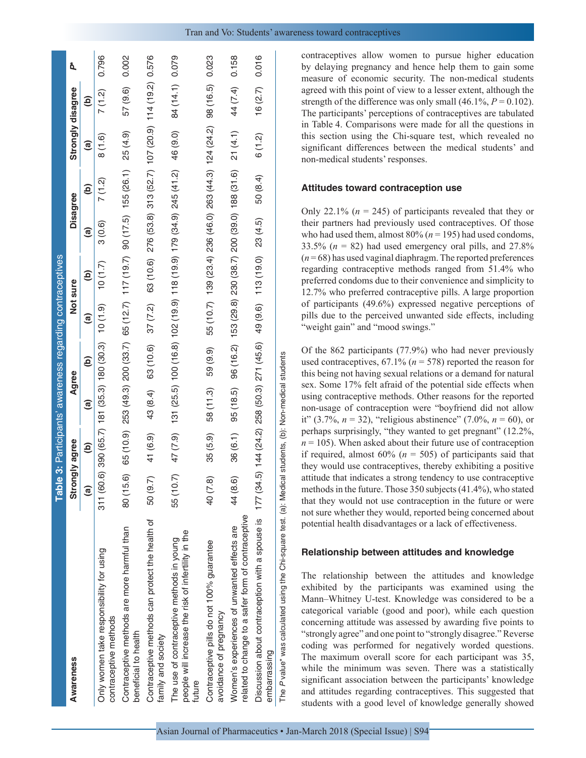|                                                                                                                                  | <b>Table</b>           |           |                                     | 3: Participants' awareness regarding contraceptives                        |          |       |                                                                 |                        |                        |               |       |
|----------------------------------------------------------------------------------------------------------------------------------|------------------------|-----------|-------------------------------------|----------------------------------------------------------------------------|----------|-------|-----------------------------------------------------------------|------------------------|------------------------|---------------|-------|
| Awareness                                                                                                                        | Strongly agree         |           |                                     | Agree                                                                      | Not sure |       | <b>Disagree</b>                                                 |                        | Strongly disagree      |               | ð.    |
|                                                                                                                                  | $\widehat{\mathbf{e}}$ | ම         | ම                                   | $\widehat{\mathbf{e}}$                                                     | ම        | ê     | ම                                                               | $\widehat{\mathbf{e}}$ | $\widehat{\mathbf{e}}$ | $\widehat{e}$ |       |
| Only women take responsibility for using<br>contraceptive methods                                                                | 311(60.6               |           |                                     | 0 390 (65.7) 181 (35.3) 180 (30.3) 10 (1.9)                                |          | (1.7) | 3(0.6)                                                          | 7 (1.2)                | 8(1.6)                 | 7 (1.2)       | 0.796 |
| Contraceptive methods are more harmful than<br>beneficial to health                                                              | 80 (15.6)              | 65 (10.9) |                                     | 253 (49.3) 200 (33.7) 65 (12.7) 117 (19.7) 90 (17.5) 155 (26.1)            |          |       |                                                                 |                        | 25 (4.9)               | 57 (9.6)      | 0.002 |
| Contraceptive methods can protect the health of<br>family and society                                                            | 50 (9.7)               | 41 (6.9)  | 43 (8.4)                            | 63 (10.6)                                                                  | 37(7.2)  |       | 63 (10.6) 276 (53.8) 313 (52.7) 107 (20.9) 114 (19.2) 0.576     |                        |                        |               |       |
| people will increase the risk of infertility in the<br>The use of contraceptive methods in young<br>tuture                       | 55 (10.7)              | 47 (7.9)  |                                     | 131 (25.5) 100 (16.8) 102 (19.9) 118 (19.9) 179 (34.9) 245 (41.2) 46 (9.0) |          |       |                                                                 |                        |                        | 84 (14.1)     | 0.079 |
| Contraceptive pills do not 100% guarantee<br>avoidance of pregnancy                                                              | 40 (7.8)               | 35 (5.9)  | 58 (11.3)                           | 59 (9.9)                                                                   |          |       | 55 (10.7) 139 (23.4) 236 (46.0) 263 (44.3) 124 (24.2) 98 (16.5) |                        |                        |               | 0.023 |
| related to change to a safer form of contraceptive<br>Women's experiences of unwanted effects are                                | 44 (8.6)               | 36 (6.1)  | 95 (18.5)                           |                                                                            |          |       | 96 (16.2) 153 (29.8) 230 (38.7) 200 (39.0) 188 (31.6)           |                        | 21(4.1)                | 44 (7.4)      | 0.158 |
| Discussion about contraception with a spouse is $177(34.5)$ 144 (24.2) 258 (50.3) 271 (45.6) 49 (9.6) 113 (19.0)<br>embarrassing |                        |           |                                     |                                                                            |          |       | 23 (4.5)                                                        | 50 (8.4)               | 6(1.2)                 | 16(2.7)       | 0.016 |
| The P value* was calculated using the Chi-square test. (a): Medical                                                              |                        |           | students, (b): Non-medical students |                                                                            |          |       |                                                                 |                        |                        |               |       |

contraceptives allow women to pursue higher education by delaying pregnancy and hence help them to gain some measure of economic security. The non-medical students agreed with this point of view to a lesser extent, although the strength of the difference was only small  $(46.1\%, P=0.102)$ . The participants' perceptions of contraceptives are tabulated in Table 4. Comparisons were made for all the questions in this section using the Chi-square test, which revealed no significant differences between the medical students' and non-medical students' responses.

#### **Attitudes toward contraception use**

Only 22.1%  $(n = 245)$  of participants revealed that they or their partners had previously used contraceptives. Of those who had used them, almost  $80\%$  ( $n = 195$ ) had used condoms, 33.5%  $(n = 82)$  had used emergency oral pills, and 27.8%  $(n=68)$  has used vaginal diaphragm. The reported preferences regarding contraceptive methods ranged from 51.4% who preferred condoms due to their convenience and simplicity to 12.7% who preferred contraceptive pills. A large proportion of participants (49.6%) expressed negative perceptions of pills due to the perceived unwanted side effects, including "weight gain" and "mood swings."

Of the 862 participants (77.9%) who had never previously used contraceptives, 67.1% (*n* = 578) reported the reason for this being not having sexual relations or a demand for natural sex. Some 17% felt afraid of the potential side effects when using contraceptive methods. Other reasons for the reported non-usage of contraception were "boyfriend did not allow it" (3.7%,  $n = 32$ ), "religious abstinence" (7.0%,  $n = 60$ ), or perhaps surprisingly, "they wanted to get pregnant" (12.2%,  $n = 105$ ). When asked about their future use of contraception if required, almost  $60\%$  ( $n = 505$ ) of participants said that they would use contraceptives, thereby exhibiting a positive attitude that indicates a strong tendency to use contraceptive methods in the future. Those 350 subjects (41.4%), who stated that they would not use contraception in the future or were not sure whether they would, reported being concerned about potential health disadvantages or a lack of effectiveness.

#### **Relationship between attitudes and knowledge**

The relationship between the attitudes and knowledge exhibited by the participants was examined using the Mann–Whitney U-test. Knowledge was considered to be a categorical variable (good and poor), while each question concerning attitude was assessed by awarding five points to "strongly agree" and one point to "strongly disagree." Reverse coding was performed for negatively worded questions. The maximum overall score for each participant was 35, while the minimum was seven. There was a statistically significant association between the participants' knowledge and attitudes regarding contraceptives. This suggested that students with a good level of knowledge generally showed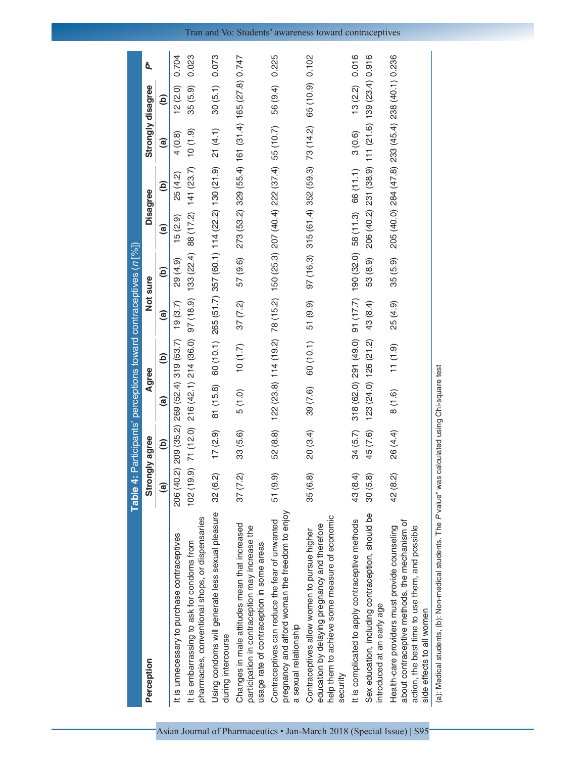|                                                                                                                                                                                | <b>Table 4: Participants' perceptions toward contraceptives (n [%])</b> |               |                       |                                 |          |               |               |                                                                            |                                                   |           |       |
|--------------------------------------------------------------------------------------------------------------------------------------------------------------------------------|-------------------------------------------------------------------------|---------------|-----------------------|---------------------------------|----------|---------------|---------------|----------------------------------------------------------------------------|---------------------------------------------------|-----------|-------|
| Perception                                                                                                                                                                     | Strongly agree                                                          |               | Agree                 |                                 | Not sure |               |               | Disagree                                                                   | Strongly disagree                                 |           | ð.    |
|                                                                                                                                                                                | $\mathbf{e}$                                                            | $\widehat{e}$ | $\widehat{a}$         | ê                               | @        | $\widehat{e}$ | $\widehat{a}$ | $\widehat{\mathbf{e}}$                                                     | $\widehat{a}$                                     | Э́        |       |
| It is unnecessary to purchase contraceptives                                                                                                                                   | ୠ<br>206 (40                                                            | 209 (35.2)    | 269 (52.4) 319 (53.7) |                                 | 19(3.7)  | 29 (4.9)      | 15(2.9)       | 25 (4.2)                                                                   | 4(0.8)                                            | 12(2.0)   | 0.704 |
| pharmacies, conventional shops, or dispensaries<br>It is embarrassing to ask for condoms from                                                                                  | $\widehat{\mathcal{O}}$<br>102 (19                                      | 71 (12.0)     |                       | 216 (42.1) 214 (36.0) 97 (18.9) |          | 133 (22.4)    |               | 88 (17.2) 141 (23.7)                                                       | $(6.1)$ 01                                        | 35 (5.9)  | 0.023 |
| Using condoms will generate less sexual pleasure<br>during intercourse                                                                                                         | 32 (6.2)                                                                | 17(2.9)       | 81 (15.8)             |                                 |          |               |               | 60 (10.1) 265 (51.7) 357 (60.1) 114 (22.2) 130 (21.9)                      | 21(4.1)                                           | 30(5.1)   | 0.073 |
| Changes in male attitudes mean that increased<br>participation in contraception may increase the<br>usage rate of contraception in some areas                                  | 37(7.2)                                                                 | 33 (5.6)      | 5(1.0)                | (1.7)                           | 37(7.2)  | 57 (9.6)      |               |                                                                            | 273 (53.2) 329 (55.4) 161 (31.4) 165 (27.8) 0.747 |           |       |
| pregnancy and afford woman the freedom to enjoy<br>Contraceptives can reduce the fear of unwanted<br>a sexual relationship                                                     | 51 (9.9)                                                                | 52 (8.8)      |                       |                                 |          |               |               | 122 (23.8) 114 (19.2) 78 (15.2) 150 (25.3) 207 (40.4) 222 (37.4) 55 (10.7) |                                                   | 56 (9.4)  | 0.225 |
| help them to achieve some measure of economic<br>education by delaying pregnancy and therefore<br>Contraceptives allow women to pursue higher<br>security                      | 35 (6.8)                                                                | 20(3.4)       | 39 (7.6)              | 60 (10.1)                       | 51 (9.9) | 97(16.3)      |               | 315 (61.4) 352 (59.3) 73 (14.2)                                            |                                                   | 65 (10.9) | 0.102 |
| It is complicated to apply contraceptive methods                                                                                                                               | 43 (8.4)                                                                | 34 (5.7)      |                       |                                 |          |               |               | 318 (62.0) 291 (49.0) 91 (17.7) 190 (32.0) 58 (11.3) 66 (11.1)             | 3(0.6)                                            | 13(2.2)   | 0.016 |
| Sex education, including contraception, should be<br>introduced at an early age                                                                                                | 30(5.8)                                                                 | 45 (7.6)      |                       | 123(24.0) 126(21.2) 43(8.4)     |          | 53 (8.9)      |               |                                                                            | 206 (40.2) 231 (38.9) 111 (21.6) 139 (23.4) 0.916 |           |       |
| about contraceptive methods, the mechanism of<br>Health-care providers must provide counseling<br>action, the best time to use them, and possible<br>side effects to all women | 42 (8.2)                                                                | 26 (4.4)      | 8(1.6)                | 11(1.9)                         | 25 (4.9) | 35 (5.9)      |               |                                                                            | 205 (40.0) 284 (47.8) 233 (45.4) 238 (40.1) 0.236 |           |       |
| $\dot{c}$<br>The contract of the contract of<br>ノーキン あきこうじょうし これい プロールエンド・プロート あま                                                                                              |                                                                         |               |                       |                                 |          |               |               |                                                                            |                                                   |           |       |

(a): Medical students, (b): Non‑medical students. The *P*value\* was calculated using Chi‑square test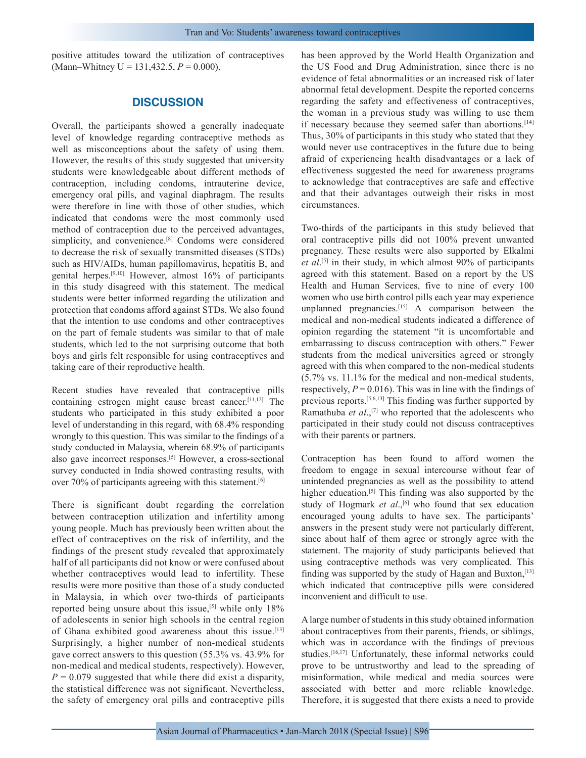positive attitudes toward the utilization of contraceptives (Mann–Whitney U = 131,432.5,  $P = 0.000$ ).

## **DISCUSSION**

Overall, the participants showed a generally inadequate level of knowledge regarding contraceptive methods as well as misconceptions about the safety of using them. However, the results of this study suggested that university students were knowledgeable about different methods of contraception, including condoms, intrauterine device, emergency oral pills, and vaginal diaphragm. The results were therefore in line with those of other studies, which indicated that condoms were the most commonly used method of contraception due to the perceived advantages, simplicity, and convenience.<sup>[8]</sup> Condoms were considered to decrease the risk of sexually transmitted diseases (STDs) such as HIV/AIDs, human papillomavirus, hepatitis B, and genital herpes.[9,10] However, almost 16% of participants in this study disagreed with this statement. The medical students were better informed regarding the utilization and protection that condoms afford against STDs. We also found that the intention to use condoms and other contraceptives on the part of female students was similar to that of male students, which led to the not surprising outcome that both boys and girls felt responsible for using contraceptives and taking care of their reproductive health.

Recent studies have revealed that contraceptive pills containing estrogen might cause breast cancer.[11,12] The students who participated in this study exhibited a poor level of understanding in this regard, with 68.4% responding wrongly to this question. This was similar to the findings of a study conducted in Malaysia, wherein 68.9% of participants also gave incorrect responses.[5] However, a cross-sectional survey conducted in India showed contrasting results, with over 70% of participants agreeing with this statement.<sup>[6]</sup>

There is significant doubt regarding the correlation between contraception utilization and infertility among young people. Much has previously been written about the effect of contraceptives on the risk of infertility, and the findings of the present study revealed that approximately half of all participants did not know or were confused about whether contraceptives would lead to infertility. These results were more positive than those of a study conducted in Malaysia, in which over two-thirds of participants reported being unsure about this issue,  $[5]$  while only 18% of adolescents in senior high schools in the central region of Ghana exhibited good awareness about this issue.[13] Surprisingly, a higher number of non-medical students gave correct answers to this question (55.3% vs. 43.9% for non-medical and medical students, respectively). However,  $P = 0.079$  suggested that while there did exist a disparity, the statistical difference was not significant. Nevertheless, the safety of emergency oral pills and contraceptive pills

has been approved by the World Health Organization and the US Food and Drug Administration, since there is no evidence of fetal abnormalities or an increased risk of later abnormal fetal development. Despite the reported concerns regarding the safety and effectiveness of contraceptives, the woman in a previous study was willing to use them if necessary because they seemed safer than abortions.<sup>[14]</sup> Thus, 30% of participants in this study who stated that they would never use contraceptives in the future due to being afraid of experiencing health disadvantages or a lack of effectiveness suggested the need for awareness programs to acknowledge that contraceptives are safe and effective and that their advantages outweigh their risks in most circumstances.

Two-thirds of the participants in this study believed that oral contraceptive pills did not 100% prevent unwanted pregnancy. These results were also supported by Elkalmi *et al*. [5] in their study, in which almost 90% of participants agreed with this statement. Based on a report by the US Health and Human Services, five to nine of every 100 women who use birth control pills each year may experience unplanned pregnancies. $[15]$  A comparison between the medical and non-medical students indicated a difference of opinion regarding the statement "it is uncomfortable and embarrassing to discuss contraception with others." Fewer students from the medical universities agreed or strongly agreed with this when compared to the non-medical students (5.7% vs. 11.1% for the medical and non-medical students, respectively,  $P = 0.016$ ). This was in line with the findings of previous reports.[5,6,13] This finding was further supported by Ramathuba *et al.*,<sup>[7]</sup> who reported that the adolescents who participated in their study could not discuss contraceptives with their parents or partners.

Contraception has been found to afford women the freedom to engage in sexual intercourse without fear of unintended pregnancies as well as the possibility to attend higher education.<sup>[5]</sup> This finding was also supported by the study of Hogmark *et al.*,<sup>[6]</sup> who found that sex education encouraged young adults to have sex. The participants' answers in the present study were not particularly different, since about half of them agree or strongly agree with the statement. The majority of study participants believed that using contraceptive methods was very complicated. This finding was supported by the study of Hagan and Buxton, [13] which indicated that contraceptive pills were considered inconvenient and difficult to use.

A large number of students in this study obtained information about contraceptives from their parents, friends, or siblings, which was in accordance with the findings of previous studies.[16,17] Unfortunately, these informal networks could prove to be untrustworthy and lead to the spreading of misinformation, while medical and media sources were associated with better and more reliable knowledge. Therefore, it is suggested that there exists a need to provide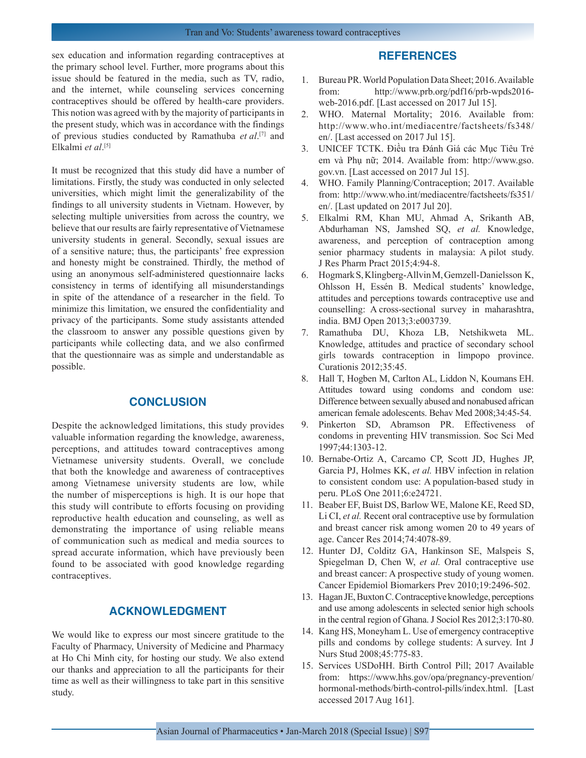sex education and information regarding contraceptives at the primary school level. Further, more programs about this issue should be featured in the media, such as TV, radio, and the internet, while counseling services concerning contraceptives should be offered by health-care providers. This notion was agreed with by the majority of participants in the present study, which was in accordance with the findings of previous studies conducted by Ramathuba *et al*. [7] and Elkalmi *et al*. [5]

It must be recognized that this study did have a number of limitations. Firstly, the study was conducted in only selected universities, which might limit the generalizability of the findings to all university students in Vietnam. However, by selecting multiple universities from across the country, we believe that our results are fairly representative of Vietnamese university students in general. Secondly, sexual issues are of a sensitive nature; thus, the participants' free expression and honesty might be constrained. Thirdly, the method of using an anonymous self-administered questionnaire lacks consistency in terms of identifying all misunderstandings in spite of the attendance of a researcher in the field. To minimize this limitation, we ensured the confidentiality and privacy of the participants. Some study assistants attended the classroom to answer any possible questions given by participants while collecting data, and we also confirmed that the questionnaire was as simple and understandable as possible.

## **CONCLUSION**

Despite the acknowledged limitations, this study provides valuable information regarding the knowledge, awareness, perceptions, and attitudes toward contraceptives among Vietnamese university students. Overall, we conclude that both the knowledge and awareness of contraceptives among Vietnamese university students are low, while the number of misperceptions is high. It is our hope that this study will contribute to efforts focusing on providing reproductive health education and counseling, as well as demonstrating the importance of using reliable means of communication such as medical and media sources to spread accurate information, which have previously been found to be associated with good knowledge regarding contraceptives.

## **ACKNOWLEDGMENT**

We would like to express our most sincere gratitude to the Faculty of Pharmacy, University of Medicine and Pharmacy at Ho Chi Minh city, for hosting our study. We also extend our thanks and appreciation to all the participants for their time as well as their willingness to take part in this sensitive study.

## **REFERENCES**

- 1. Bureau PR. World Population Data Sheet; 2016. Available from: http://www.prb.org/pdf16/prb-wpds2016 web-2016.pdf. [Last accessed on 2017 Jul 15].
- 2. WHO. Maternal Mortality; 2016. Available from: http://www.who.int/mediacentre/factsheets/fs348/ en/. [Last accessed on 2017 Jul 15].
- 3. UNICEF TCTK. Điều tra Đánh Giá các Mục Tiêu Trẻ em và Phụ nữ; 2014. Available from: http://www.gso. gov.vn. [Last accessed on 2017 Jul 15].
- 4. WHO. Family Planning/Contraception; 2017. Available from: http://www.who.int/mediacentre/factsheets/fs351/ en/. [Last updated on 2017 Jul 20].
- 5. Elkalmi RM, Khan MU, Ahmad A, Srikanth AB, Abdurhaman NS, Jamshed SQ, *et al.* Knowledge, awareness, and perception of contraception among senior pharmacy students in malaysia: A pilot study. J Res Pharm Pract 2015;4:94-8.
- 6. Hogmark S, Klingberg-Allvin M, Gemzell-Danielsson K, Ohlsson H, Essén B. Medical students' knowledge, attitudes and perceptions towards contraceptive use and counselling: A cross-sectional survey in maharashtra, india. BMJ Open 2013;3:e003739.
- 7. Ramathuba DU, Khoza LB, Netshikweta ML. Knowledge, attitudes and practice of secondary school girls towards contraception in limpopo province. Curationis 2012;35:45.
- 8. Hall T, Hogben M, Carlton AL, Liddon N, Koumans EH. Attitudes toward using condoms and condom use: Difference between sexually abused and nonabused african american female adolescents. Behav Med 2008;34:45-54.
- 9. Pinkerton SD, Abramson PR. Effectiveness of condoms in preventing HIV transmission. Soc Sci Med 1997;44:1303-12.
- 10. Bernabe-Ortiz A, Carcamo CP, Scott JD, Hughes JP, Garcia PJ, Holmes KK, *et al.* HBV infection in relation to consistent condom use: A population-based study in peru. PLoS One 2011;6:e24721.
- 11. Beaber EF, Buist DS, Barlow WE, Malone KE, Reed SD, Li CI, *et al.* Recent oral contraceptive use by formulation and breast cancer risk among women 20 to 49 years of age. Cancer Res 2014;74:4078-89.
- 12. Hunter DJ, Colditz GA, Hankinson SE, Malspeis S, Spiegelman D, Chen W, *et al.* Oral contraceptive use and breast cancer: A prospective study of young women. Cancer Epidemiol Biomarkers Prev 2010;19:2496-502.
- 13. Hagan JE, Buxton C. Contraceptive knowledge, perceptions and use among adolescents in selected senior high schools in the central region of Ghana. J Sociol Res 2012;3:170-80.
- 14. Kang HS, Moneyham L. Use of emergency contraceptive pills and condoms by college students: A survey. Int J Nurs Stud 2008;45:775-83.
- 15. Services USDoHH. Birth Control Pill; 2017 Available from: https://www.hhs.gov/opa/pregnancy-prevention/ hormonal-methods/birth-control-pills/index.html. [Last accessed 2017 Aug 161].